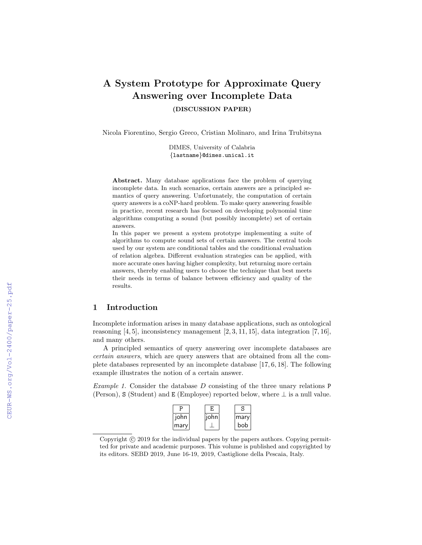# A System Prototype for Approximate Query Answering over Incomplete Data (DISCUSSION PAPER)

Nicola Fiorentino, Sergio Greco, Cristian Molinaro, and Irina Trubitsyna

DIMES, University of Calabria {lastname}@dimes.unical.it

Abstract. Many database applications face the problem of querying incomplete data. In such scenarios, certain answers are a principled semantics of query answering. Unfortunately, the computation of certain query answers is a coNP-hard problem. To make query answering feasible in practice, recent research has focused on developing polynomial time algorithms computing a sound (but possibly incomplete) set of certain answers.

In this paper we present a system prototype implementing a suite of algorithms to compute sound sets of certain answers. The central tools used by our system are conditional tables and the conditional evaluation of relation algebra. Different evaluation strategies can be applied, with more accurate ones having higher complexity, but returning more certain answers, thereby enabling users to choose the technique that best meets their needs in terms of balance between efficiency and quality of the results.

### 1 Introduction

Incomplete information arises in many database applications, such as ontological reasoning  $[4, 5]$ , inconsistency management  $[2, 3, 11, 15]$ , data integration  $[7, 16]$ , and many others.

A principled semantics of query answering over incomplete databases are certain answers, which are query answers that are obtained from all the complete databases represented by an incomplete database [17, 6, 18]. The following example illustrates the notion of a certain answer.

Example 1. Consider the database  $D$  consisting of the three unary relations  $P$ (Person), S (Student) and E (Employee) reported below, where  $\perp$  is a null value.



Copyright  $\odot$  2019 for the individual papers by the papers authors. Copying permitted for private and academic purposes. This volume is published and copyrighted by its editors. SEBD 2019, June 16-19, 2019, Castiglione della Pescaia, Italy.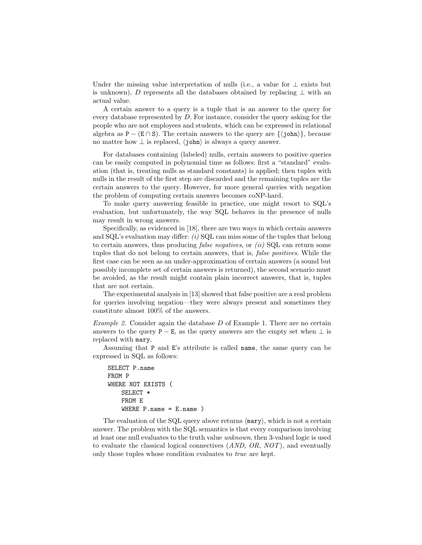Under the missing value interpretation of nulls (i.e., a value for  $\perp$  exists but is unknown), D represents all the databases obtained by replacing  $\perp$  with an actual value.

A certain answer to a query is a tuple that is an answer to the query for every database represented by D. For instance, consider the query asking for the people who are not employees and students, which can be expressed in relational algebra as  $P - (E \cap S)$ . The certain answers to the query are  $\{ \{\text{iohn}\}\}\)$ , because no matter how  $\perp$  is replaced,  $\langle$  john $\rangle$  is always a query answer.

For databases containing (labeled) nulls, certain answers to positive queries can be easily computed in polynomial time as follows: first a "standard" evaluation (that is, treating nulls as standard constants) is applied; then tuples with nulls in the result of the first step are discarded and the remaining tuples are the certain answers to the query. However, for more general queries with negation the problem of computing certain answers becomes coNP-hard.

To make query answering feasible in practice, one might resort to SQL's evaluation, but unfortunately, the way SQL behaves in the presence of nulls may result in wrong answers.

Specifically, as evidenced in [18], there are two ways in which certain answers and SQL's evaluation may differ:  $(i)$  SQL can miss some of the tuples that belong to certain answers, thus producing *false negatives*, or *(ii)*  $SQL$  can return some tuples that do not belong to certain answers, that is, false positives. While the first case can be seen as an under-approximation of certain answers (a sound but possibly incomplete set of certain answers is returned), the second scenario must be avoided, as the result might contain plain incorrect answers, that is, tuples that are not certain.

The experimental analysis in [13] showed that false positive are a real problem for queries involving negation—they were always present and sometimes they constitute almost 100% of the answers.

Example 2. Consider again the database D of Example 1. There are no certain answers to the query P − E, as the query answers are the empty set when  $\perp$  is replaced with mary.

Assuming that P and E's attribute is called name, the same query can be expressed in SQL as follows:

```
SELECT P.name
FROM P
WHERE NOT EXISTS (
    SELECT *
    FROM E
    WHERE P.name = E.name)
```
The evaluation of the SQL query above returns  $\langle \text{maxy} \rangle$ , which is not a certain answer. The problem with the SQL semantics is that every comparison involving at least one null evaluates to the truth value unknown, then 3-valued logic is used to evaluate the classical logical connectives (AND, OR, NOT), and eventually only those tuples whose condition evaluates to true are kept.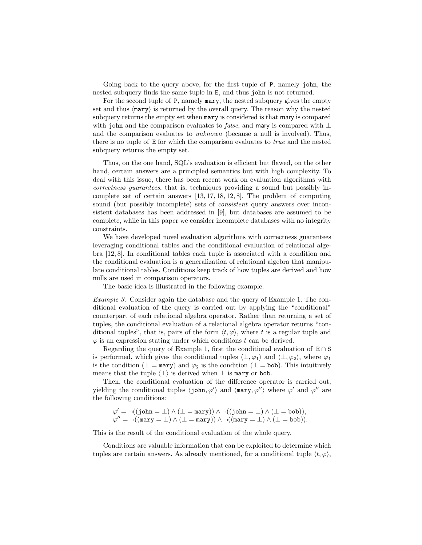Going back to the query above, for the first tuple of P, namely john, the nested subquery finds the same tuple in E, and thus john is not returned.

For the second tuple of P, namely mary, the nested subquery gives the empty set and thus  $\langle \text{mary} \rangle$  is returned by the overall query. The reason why the nested subquery returns the empty set when mary is considered is that mary is compared with john and the comparison evaluates to *false*, and mary is compared with  $\perp$ and the comparison evaluates to *unknown* (because a null is involved). Thus, there is no tuple of E for which the comparison evaluates to true and the nested subquery returns the empty set.

Thus, on the one hand, SQL's evaluation is efficient but flawed, on the other hand, certain answers are a principled semantics but with high complexity. To deal with this issue, there has been recent work on evaluation algorithms with correctness guarantees, that is, techniques providing a sound but possibly incomplete set of certain answers [13, 17, 18, 12, 8]. The problem of computing sound (but possibly incomplete) sets of *consistent* query answers over inconsistent databases has been addressed in [9], but databases are assumed to be complete, while in this paper we consider incomplete databases with no integrity constraints.

We have developed novel evaluation algorithms with correctness guarantees leveraging conditional tables and the conditional evaluation of relational algebra [12, 8]. In conditional tables each tuple is associated with a condition and the conditional evaluation is a generalization of relational algebra that manipulate conditional tables. Conditions keep track of how tuples are derived and how nulls are used in comparison operators.

The basic idea is illustrated in the following example.

Example 3. Consider again the database and the query of Example 1. The conditional evaluation of the query is carried out by applying the "conditional" counterpart of each relational algebra operator. Rather than returning a set of tuples, the conditional evaluation of a relational algebra operator returns "conditional tuples", that is, pairs of the form  $\langle t, \varphi \rangle$ , where t is a regular tuple and  $\varphi$  is an expression stating under which conditions t can be derived.

Regarding the query of Example 1, first the conditional evaluation of  $E \cap S$ is performed, which gives the conditional tuples  $\langle \perp, \varphi_1 \rangle$  and  $\langle \perp, \varphi_2 \rangle$ , where  $\varphi_1$ is the condition ( $\bot$  = mary) and  $\varphi_2$  is the condition ( $\bot$  = bob). This intuitively means that the tuple  $\langle \perp \rangle$  is derived when  $\perp$  is mary or bob.

Then, the conditional evaluation of the difference operator is carried out, yielding the conditional tuples  $\langle$ john,  $\varphi' \rangle$  and  $\langle \text{many}, \varphi'' \rangle$  where  $\varphi'$  and  $\varphi''$  are the following conditions:

$$
\varphi' = \neg((\texttt{join} = \bot) \land (\bot = \texttt{mary})) \land \neg((\texttt{join} = \bot) \land (\bot = \texttt{bob})),\varphi'' = \neg((\texttt{mary} = \bot) \land (\bot = \texttt{mary})) \land \neg((\texttt{mary} = \bot) \land (\bot = \texttt{bob})).
$$

This is the result of the conditional evaluation of the whole query.

Conditions are valuable information that can be exploited to determine which tuples are certain answers. As already mentioned, for a conditional tuple  $\langle t, \varphi \rangle$ ,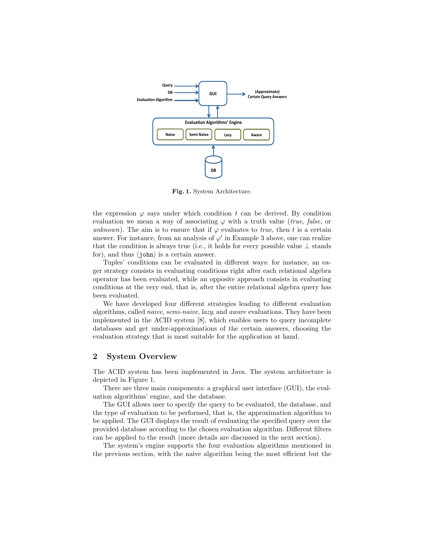

Fig. 1. System Architecture.

the expression  $\varphi$  says under which condition t can be derived. By condition evaluation we mean a way of associating  $\varphi$  with a truth value (*true, false,* or unknown). The aim is to ensure that if  $\varphi$  evaluates to *true*, then t is a certain answer. For instance, from an analysis of  $\varphi'$  in Example 3 above, one can realize that the condition is always true (i.e., it holds for every possible value  $\perp$  stands for), and thus  $\langle \text{iohn} \rangle$  is a certain answer.

Tuples' conditions can be evaluated in different ways: for instance, an eager strategy consists in evaluating conditions right after each relational algebra operator has been evaluated, while an opposite approach consists in evaluating conditions at the very end, that is, after the entire relational algebra query has been evaluated.

We have developed four different strategies leading to different evaluation algorithms, called naive, semi-naive, lazy, and aware evaluations. They have been implemented in the ACID system [8], which enables users to query incomplete databases and get under-approximations of the certain answers, choosing the evaluation strategy that is most suitable for the application at hand.

## 2 System Overview

The ACID system has been implemented in Java. The system architecture is depicted in Figure 1.

There are three main components: a graphical user interface (GUI), the evaluation algorithms' engine, and the database.

The GUI allows user to specify the query to be evaluated, the database, and the type of evaluation to be performed, that is, the approximation algorithm to be applied. The GUI displays the result of evaluating the specified query over the provided database according to the chosen evaluation algorithm. Different filters can be applied to the result (more details are discussed in the next section).

The system's engine supports the four evaluation algorithms mentioned in the previous section, with the naive algorithm being the most efficient but the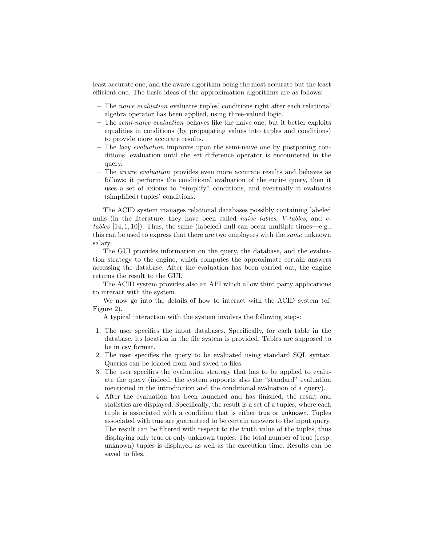least accurate one, and the aware algorithm being the most accurate but the least efficient one. The basic ideas of the approximation algorithms are as follows:

- The naive evaluation evaluates tuples' conditions right after each relational algebra operator has been applied, using three-valued logic.
- The semi-naive evaluation behaves like the naive one, but it better exploits equalities in conditions (by propagating values into tuples and conditions) to provide more accurate results.
- The lazy evaluation improves upon the semi-naive one by postponing conditions' evaluation until the set difference operator is encountered in the query.
- The aware evaluation provides even more accurate results and behaves as follows: it performs the conditional evaluation of the entire query, then it uses a set of axioms to "simplify" conditions, and eventually it evaluates (simplified) tuples' conditions.

The ACID system manages relational databases possibly containing labeled nulls (in the literature, they have been called naive tables, V-tables, and etables  $[14, 1, 10]$ . Thus, the same (labeled) null can occur multiple times—e.g., this can be used to express that there are two employees with the same unknown salary.

The GUI provides information on the query, the database, and the evaluation strategy to the engine, which computes the approximate certain answers accessing the database. After the evaluation has been carried out, the engine returns the result to the GUI.

The ACID system provides also an API which allow third party applications to interact with the system.

We now go into the details of how to interact with the ACID system (cf. Figure 2).

A typical interaction with the system involves the following steps:

- 1. The user specifies the input databases. Specifically, for each table in the database, its location in the file system is provided. Tables are supposed to be in csv format.
- 2. The user specifies the query to be evaluated using standard SQL syntax. Queries can be loaded from and saved to files.
- 3. The user specifies the evaluation strategy that has to be applied to evaluate the query (indeed, the system supports also the "standard" evaluation mentioned in the introduction and the conditional evaluation of a query).
- 4. After the evaluation has been launched and has finished, the result and statistics are displayed. Specifically, the result is a set of a tuples, where each tuple is associated with a condition that is either true or unknown. Tuples associated with true are guaranteed to be certain answers to the input query. The result can be filtered with respect to the truth value of the tuples, thus displaying only true or only unknown tuples. The total number of true (resp. unknown) tuples is displayed as well as the execution time. Results can be saved to files.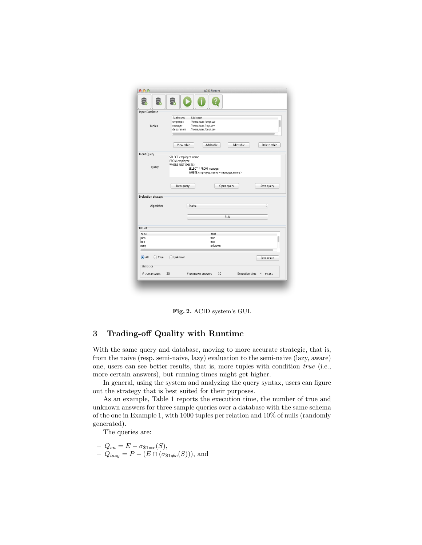| Ų<br>DF.<br>Input Database<br>Table name<br>Table path<br>emplovee<br>/home/user/emp.csv<br>/home/user/mgr.csv<br>manager<br><b>Tables</b><br>/home/user/dept.csv<br>department<br>Edit table<br>View table<br>Add table<br>Delete table<br>Input Query<br>SELECT employee.name<br><b>FROM</b> employee<br>WHERE NOT EXISTS (<br>Query<br>SELECT * FROM manager<br>WHERE employee.name = manager.name )<br>New query<br>Open query<br>Save query<br>Evaluation strategy<br><b>Naive</b><br>÷<br>Algorithm<br><b>RUN</b><br>Result-<br>name<br>cond<br>iohn<br>true<br>bob<br>true<br>unknown<br>mary<br>◯ True<br>O Unknown<br>$\odot$ All<br>Save result<br><b>Statistics:</b><br># true answers<br>20<br># unknown answers<br>10 <sup>10</sup><br>Execution time 4 msecs | 000 | <b>ACID System</b> |  |  |  |  |  |  |
|----------------------------------------------------------------------------------------------------------------------------------------------------------------------------------------------------------------------------------------------------------------------------------------------------------------------------------------------------------------------------------------------------------------------------------------------------------------------------------------------------------------------------------------------------------------------------------------------------------------------------------------------------------------------------------------------------------------------------------------------------------------------------|-----|--------------------|--|--|--|--|--|--|
|                                                                                                                                                                                                                                                                                                                                                                                                                                                                                                                                                                                                                                                                                                                                                                            |     |                    |  |  |  |  |  |  |
|                                                                                                                                                                                                                                                                                                                                                                                                                                                                                                                                                                                                                                                                                                                                                                            |     |                    |  |  |  |  |  |  |
|                                                                                                                                                                                                                                                                                                                                                                                                                                                                                                                                                                                                                                                                                                                                                                            |     |                    |  |  |  |  |  |  |
|                                                                                                                                                                                                                                                                                                                                                                                                                                                                                                                                                                                                                                                                                                                                                                            |     |                    |  |  |  |  |  |  |
|                                                                                                                                                                                                                                                                                                                                                                                                                                                                                                                                                                                                                                                                                                                                                                            |     |                    |  |  |  |  |  |  |
|                                                                                                                                                                                                                                                                                                                                                                                                                                                                                                                                                                                                                                                                                                                                                                            |     |                    |  |  |  |  |  |  |
|                                                                                                                                                                                                                                                                                                                                                                                                                                                                                                                                                                                                                                                                                                                                                                            |     |                    |  |  |  |  |  |  |
|                                                                                                                                                                                                                                                                                                                                                                                                                                                                                                                                                                                                                                                                                                                                                                            |     |                    |  |  |  |  |  |  |
|                                                                                                                                                                                                                                                                                                                                                                                                                                                                                                                                                                                                                                                                                                                                                                            |     |                    |  |  |  |  |  |  |
|                                                                                                                                                                                                                                                                                                                                                                                                                                                                                                                                                                                                                                                                                                                                                                            |     |                    |  |  |  |  |  |  |
|                                                                                                                                                                                                                                                                                                                                                                                                                                                                                                                                                                                                                                                                                                                                                                            |     |                    |  |  |  |  |  |  |
|                                                                                                                                                                                                                                                                                                                                                                                                                                                                                                                                                                                                                                                                                                                                                                            |     |                    |  |  |  |  |  |  |
|                                                                                                                                                                                                                                                                                                                                                                                                                                                                                                                                                                                                                                                                                                                                                                            |     |                    |  |  |  |  |  |  |
|                                                                                                                                                                                                                                                                                                                                                                                                                                                                                                                                                                                                                                                                                                                                                                            |     |                    |  |  |  |  |  |  |

Fig. 2. ACID system's GUI.

# 3 Trading-off Quality with Runtime

With the same query and database, moving to more accurate strategie, that is, from the naive (resp. semi-naive, lazy) evaluation to the semi-naive (lazy, aware) one, users can see better results, that is, more tuples with condition true (i.e., more certain answers), but running times might get higher.

In general, using the system and analyzing the query syntax, users can figure out the strategy that is best suited for their purposes.

As an example, Table 1 reports the execution time, the number of true and unknown answers for three sample queries over a database with the same schema of the one in Example 1, with 1000 tuples per relation and 10% of nulls (randomly generated).

The queries are:

$$
- Q_{sn} = E - \sigma_{\$1=c}(S),
$$
  
-  $Q_{lazy} = P - (E \cap (\sigma_{\$1 \neq c}(S))),$  and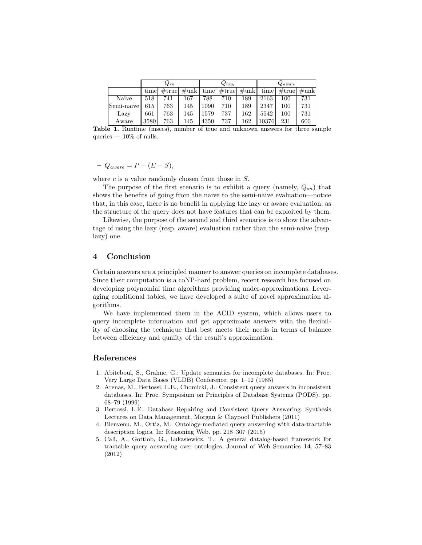|                         | $Q_{sn}$ |     |       | $Q_{lazy}$                   |     |     | $Q_{\textit{aware}}$ |                                                                                   |     |
|-------------------------|----------|-----|-------|------------------------------|-----|-----|----------------------|-----------------------------------------------------------------------------------|-----|
|                         |          |     |       |                              |     |     |                      | time $\#$ true $\#$ unk $\ $ time $\#$ true $\#$ unk $\ $ time $\#$ true $\#$ unk |     |
| Naive                   | 518      | 741 | $167$ | 788                          | 710 |     | $189$   2163         | 100                                                                               | 731 |
| $\text{Semi-naive}$ 615 |          | 763 | 145   | $\parallel$ 1090             | 710 | 189 | $\parallel$ 2347     | 100                                                                               | 731 |
| Lazy                    | 661      | 763 | 145   | $\parallel$ 1579             | 737 |     | $162$   5542         | 100                                                                               | 731 |
| Aware                   | 3580     | 763 | 145   | $\parallel$ 4350 $\parallel$ | 737 |     | 162   10376          | 231                                                                               | 600 |

Table 1. Runtime (msecs), number of true and unknown answers for three sample queries  $-10\%$  of nulls.

 $- Q_{\text{aware}} = P - (E - S),$ 

where  $c$  is a value randomly chosen from those in  $S$ .

The purpose of the first scenario is to exhibit a query (namely,  $Q_{sn}$ ) that shows the benefits of going from the naive to the semi-naive evaluation—notice that, in this case, there is no benefit in applying the lazy or aware evaluation, as the structure of the query does not have features that can be exploited by them.

Likewise, the purpose of the second and third scenarios is to show the advantage of using the lazy (resp. aware) evaluation rather than the semi-naive (resp. lazy) one.

### 4 Conclusion

Certain answers are a principled manner to answer queries on incomplete databases. Since their computation is a coNP-hard problem, recent research has focused on developing polynomial time algorithms providing under-approximations. Leveraging conditional tables, we have developed a suite of novel approximation algorithms.

We have implemented them in the ACID system, which allows users to query incomplete information and get approximate answers with the flexibility of choosing the technique that best meets their needs in terms of balance between efficiency and quality of the result's approximation.

#### References

- 1. Abiteboul, S., Grahne, G.: Update semantics for incomplete databases. In: Proc. Very Large Data Bases (VLDB) Conference. pp. 1–12 (1985)
- 2. Arenas, M., Bertossi, L.E., Chomicki, J.: Consistent query answers in inconsistent databases. In: Proc. Symposium on Principles of Database Systems (PODS). pp. 68–79 (1999)
- 3. Bertossi, L.E.: Database Repairing and Consistent Query Answering. Synthesis Lectures on Data Management, Morgan & Claypool Publishers (2011)
- 4. Bienvenu, M., Ortiz, M.: Ontology-mediated query answering with data-tractable description logics. In: Reasoning Web. pp. 218–307 (2015)
- 5. Cal`ı, A., Gottlob, G., Lukasiewicz, T.: A general datalog-based framework for tractable query answering over ontologies. Journal of Web Semantics 14, 57–83 (2012)